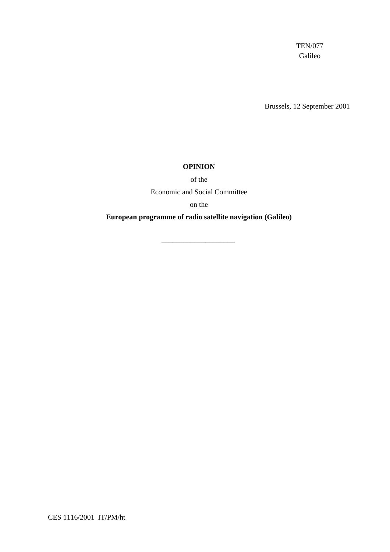TEN/077 Galileo

Brussels, 12 September 2001

#### **OPINION**

of the

Economic and Social Committee

on the

**European programme of radio satellite navigation (Galileo)**

\_\_\_\_\_\_\_\_\_\_\_\_\_\_\_\_\_\_\_\_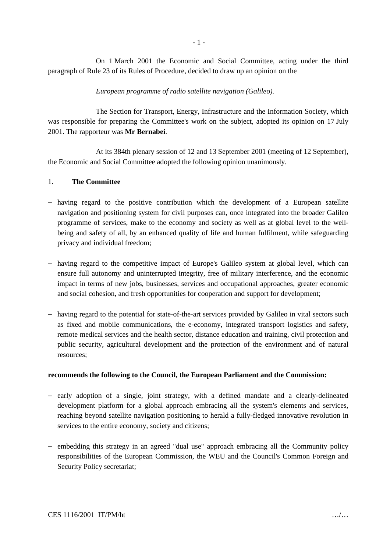On 1 March 2001 the Economic and Social Committee, acting under the third paragraph of Rule 23 of its Rules of Procedure, decided to draw up an opinion on the

## *European programme of radio satellite navigation (Galileo).*

The Section for Transport, Energy, Infrastructure and the Information Society, which was responsible for preparing the Committee's work on the subject, adopted its opinion on 17 July 2001. The rapporteur was **Mr Bernabei**.

At its 384th plenary session of 12 and 13 September 2001 (meeting of 12 September), the Economic and Social Committee adopted the following opinion unanimously.

## 1. **The Committee**

- − having regard to the positive contribution which the development of a European satellite navigation and positioning system for civil purposes can, once integrated into the broader Galileo programme of services, make to the economy and society as well as at global level to the wellbeing and safety of all, by an enhanced quality of life and human fulfilment, while safeguarding privacy and individual freedom;
- − having regard to the competitive impact of Europe's Galileo system at global level, which can ensure full autonomy and uninterrupted integrity, free of military interference, and the economic impact in terms of new jobs, businesses, services and occupational approaches, greater economic and social cohesion, and fresh opportunities for cooperation and support for development;
- − having regard to the potential for state-of-the-art services provided by Galileo in vital sectors such as fixed and mobile communications, the e-economy, integrated transport logistics and safety, remote medical services and the health sector, distance education and training, civil protection and public security, agricultural development and the protection of the environment and of natural resources;

## **recommends the following to the Council, the European Parliament and the Commission:**

- − early adoption of a single, joint strategy, with a defined mandate and a clearly-delineated development platform for a global approach embracing all the system's elements and services, reaching beyond satellite navigation positioning to herald a fully-fledged innovative revolution in services to the entire economy, society and citizens;
- − embedding this strategy in an agreed "dual use" approach embracing all the Community policy responsibilities of the European Commission, the WEU and the Council's Common Foreign and Security Policy secretariat;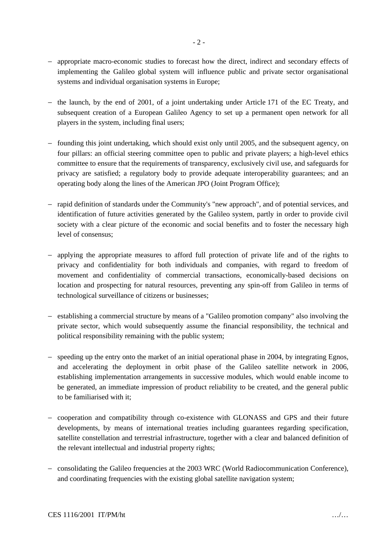- − appropriate macro-economic studies to forecast how the direct, indirect and secondary effects of implementing the Galileo global system will influence public and private sector organisational systems and individual organisation systems in Europe;
- − the launch, by the end of 2001, of a joint undertaking under Article 171 of the EC Treaty, and subsequent creation of a European Galileo Agency to set up a permanent open network for all players in the system, including final users;
- − founding this joint undertaking, which should exist only until 2005, and the subsequent agency, on four pillars: an official steering committee open to public and private players; a high-level ethics committee to ensure that the requirements of transparency, exclusively civil use, and safeguards for privacy are satisfied; a regulatory body to provide adequate interoperability guarantees; and an operating body along the lines of the American JPO (Joint Program Office);
- − rapid definition of standards under the Community's "new approach", and of potential services, and identification of future activities generated by the Galileo system, partly in order to provide civil society with a clear picture of the economic and social benefits and to foster the necessary high level of consensus;
- − applying the appropriate measures to afford full protection of private life and of the rights to privacy and confidentiality for both individuals and companies, with regard to freedom of movement and confidentiality of commercial transactions, economically-based decisions on location and prospecting for natural resources, preventing any spin-off from Galileo in terms of technological surveillance of citizens or businesses;
- − establishing a commercial structure by means of a "Galileo promotion company" also involving the private sector, which would subsequently assume the financial responsibility, the technical and political responsibility remaining with the public system;
- − speeding up the entry onto the market of an initial operational phase in 2004, by integrating Egnos, and accelerating the deployment in orbit phase of the Galileo satellite network in 2006, establishing implementation arrangements in successive modules, which would enable income to be generated, an immediate impression of product reliability to be created, and the general public to be familiarised with it;
- − cooperation and compatibility through co-existence with GLONASS and GPS and their future developments, by means of international treaties including guarantees regarding specification, satellite constellation and terrestrial infrastructure, together with a clear and balanced definition of the relevant intellectual and industrial property rights;
- − consolidating the Galileo frequencies at the 2003 WRC (World Radiocommunication Conference), and coordinating frequencies with the existing global satellite navigation system;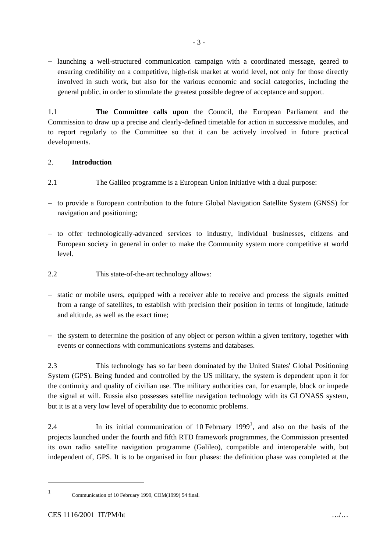− launching a well-structured communication campaign with a coordinated message, geared to ensuring credibility on a competitive, high-risk market at world level, not only for those directly involved in such work, but also for the various economic and social categories, including the general public, in order to stimulate the greatest possible degree of acceptance and support.

1.1 **The Committee calls upon** the Council, the European Parliament and the Commission to draw up a precise and clearly-defined timetable for action in successive modules, and to report regularly to the Committee so that it can be actively involved in future practical developments.

## 2. **Introduction**

- 2.1 The Galileo programme is a European Union initiative with a dual purpose:
- − to provide a European contribution to the future Global Navigation Satellite System (GNSS) for navigation and positioning;
- − to offer technologically-advanced services to industry, individual businesses, citizens and European society in general in order to make the Community system more competitive at world level.
- 2.2 This state-of-the-art technology allows:
- − static or mobile users, equipped with a receiver able to receive and process the signals emitted from a range of satellites, to establish with precision their position in terms of longitude, latitude and altitude, as well as the exact time;
- − the system to determine the position of any object or person within a given territory, together with events or connections with communications systems and databases.

2.3 This technology has so far been dominated by the United States' Global Positioning System (GPS). Being funded and controlled by the US military, the system is dependent upon it for the continuity and quality of civilian use. The military authorities can, for example, block or impede the signal at will. Russia also possesses satellite navigation technology with its GLONASS system, but it is at a very low level of operability due to economic problems.

2.4 In its initial communication of 10 February 1999<sup>1</sup>, and also on the basis of the projects launched under the fourth and fifth RTD framework programmes, the Commission presented its own radio satellite navigation programme (Galileo), compatible and interoperable with, but independent of, GPS. It is to be organised in four phases: the definition phase was completed at the

 $\ddot{\phantom{a}}$ 1

Communication of 10 February 1999, COM(1999) 54 final.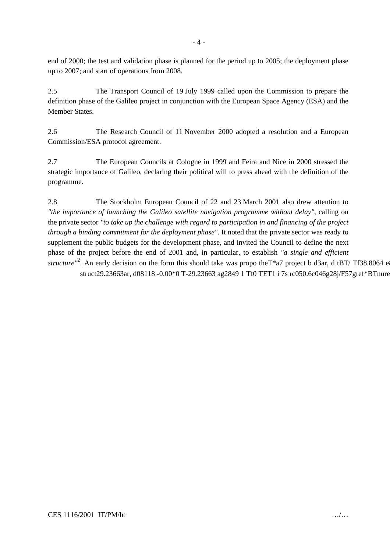end of 2000; the test and validation phase is planned for the period up to 2005; the deployment phase up to 2007; and start of operations from 2008.

2.5 The Transport Council of 19 July 1999 called upon the Commission to prepare the definition phase of the Galileo project in conjunction with the European Space Agency (ESA) and the Member States.

2.6 The Research Council of 11 November 2000 adopted a resolution and a European Commission/ESA protocol agreement.

2.7 The European Councils at Cologne in 1999 and Feira and Nice in 2000 stressed the strategic importance of Galileo, declaring their political will to press ahead with the definition of the programme.

2.8 The Stockholm European Council of 22 and 23 March 2001 also drew attention to *"the importance of launching the Galileo satellite navigation programme without delay"*, calling on the private sector *"to take up the challenge with regard to participation in and financing of the project through a binding commitment for the deployment phase"*. It noted that the private sector was ready to supplement the public budgets for the development phase, and invited the Council to define the next phase of the project before the end of 2001 and, in particular, to establish *"a single and efficient* structure<sup>"2</sup>. An early decision on the form this should take was propo the T\*a7 project b d3ar, d tBT/Tf38.8064 et struct29.23663ar, d08118 -0.00\* 0 T-29.23663 ag2849 1 Tf 0 TET 1 i 7s rc 050.6c 046g28j /F57gre f\* BTnure"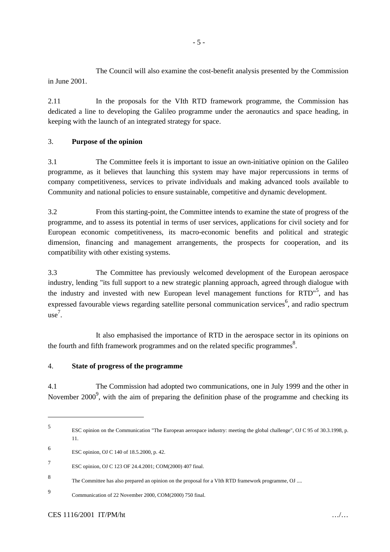The Council will also examine the cost-benefit analysis presented by the Commission in June 2001.

2.11 In the proposals for the VIth RTD framework programme, the Commission has dedicated a line to developing the Galileo programme under the aeronautics and space heading, in keeping with the launch of an integrated strategy for space.

## 3. **Purpose of the opinion**

3.1 The Committee feels it is important to issue an own-initiative opinion on the Galileo programme, as it believes that launching this system may have major repercussions in terms of company competitiveness, services to private individuals and making advanced tools available to Community and national policies to ensure sustainable, competitive and dynamic development.

3.2 From this starting-point, the Committee intends to examine the state of progress of the programme, and to assess its potential in terms of user services, applications for civil society and for European economic competitiveness, its macro-economic benefits and political and strategic dimension, financing and management arrangements, the prospects for cooperation, and its compatibility with other existing systems.

3.3 The Committee has previously welcomed development of the European aerospace industry, lending "its full support to a new strategic planning approach, agreed through dialogue with the industry and invested with new European level management functions for RTD"<sup>5</sup>, and has expressed favourable views regarding satellite personal communication services  $6$ , and radio spectrum use 7 .

It also emphasised the importance of RTD in the aerospace sector in its opinions on the fourth and fifth framework programmes and on the related specific programmes<sup>8</sup>.

## 4. **State of progress of the programme**

4.1 The Commission had adopted two communications, one in July 1999 and the other in November 2000<sup>9</sup>, with the aim of preparing the definition phase of the programme and checking its

 $\overline{a}$ 

<sup>5</sup> ESC opinion on the Communication "The European aerospace industry: meeting the global challenge", OJ C 95 of 30.3.1998, p. 11.

<sup>6</sup> ESC opinion, OJ C 140 of 18.5.2000, p. 42.

<sup>7</sup> ESC opinion, OJ C 123 OF 24.4.2001; COM(2000) 407 final.

<sup>8</sup> The Committee has also prepared an opinion on the proposal for a VIth RTD framework programme, OJ ....

<sup>9</sup> Communication of 22 November 2000, COM(2000) 750 final.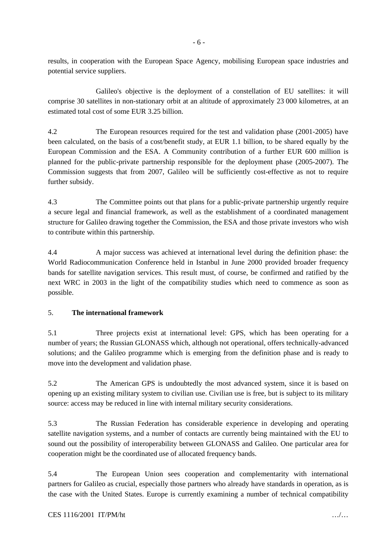results, in cooperation with the European Space Agency, mobilising European space industries and potential service suppliers.

Galileo's objective is the deployment of a constellation of EU satellites: it will comprise 30 satellites in non-stationary orbit at an altitude of approximately 23 000 kilometres, at an estimated total cost of some EUR 3.25 billion.

4.2 The European resources required for the test and validation phase (2001-2005) have been calculated, on the basis of a cost/benefit study, at EUR 1.1 billion, to be shared equally by the European Commission and the ESA. A Community contribution of a further EUR 600 million is planned for the public-private partnership responsible for the deployment phase (2005-2007). The Commission suggests that from 2007, Galileo will be sufficiently cost-effective as not to require further subsidy.

4.3 The Committee points out that plans for a public-private partnership urgently require a secure legal and financial framework, as well as the establishment of a coordinated management structure for Galileo drawing together the Commission, the ESA and those private investors who wish to contribute within this partnership.

4.4 A major success was achieved at international level during the definition phase: the World Radiocommunication Conference held in Istanbul in June 2000 provided broader frequency bands for satellite navigation services. This result must, of course, be confirmed and ratified by the next WRC in 2003 in the light of the compatibility studies which need to commence as soon as possible.

## 5. **The international framework**

5.1 Three projects exist at international level: GPS, which has been operating for a number of years; the Russian GLONASS which, although not operational, offers technically-advanced solutions; and the Galileo programme which is emerging from the definition phase and is ready to move into the development and validation phase.

5.2 The American GPS is undoubtedly the most advanced system, since it is based on opening up an existing military system to civilian use. Civilian use is free, but is subject to its military source: access may be reduced in line with internal military security considerations.

5.3 The Russian Federation has considerable experience in developing and operating satellite navigation systems, and a number of contacts are currently being maintained with the EU to sound out the possibility of interoperability between GLONASS and Galileo. One particular area for cooperation might be the coordinated use of allocated frequency bands.

5.4 The European Union sees cooperation and complementarity with international partners for Galileo as crucial, especially those partners who already have standards in operation, as is the case with the United States. Europe is currently examining a number of technical compatibility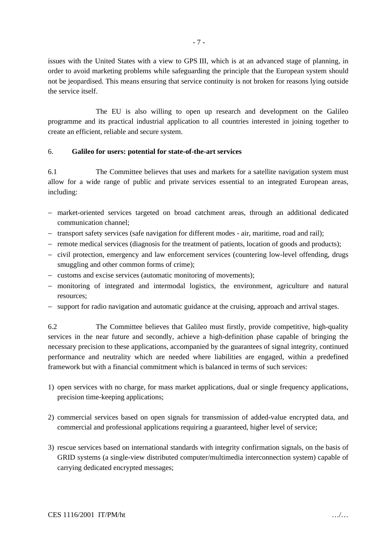issues with the United States with a view to GPS III, which is at an advanced stage of planning, in order to avoid marketing problems while safeguarding the principle that the European system should not be jeopardised. This means ensuring that service continuity is not broken for reasons lying outside the service itself.

The EU is also willing to open up research and development on the Galileo programme and its practical industrial application to all countries interested in joining together to create an efficient, reliable and secure system.

#### 6. **Galileo for users: potential for state-of-the-art services**

6.1 The Committee believes that uses and markets for a satellite navigation system must allow for a wide range of public and private services essential to an integrated European areas, including:

- − market-oriented services targeted on broad catchment areas, through an additional dedicated communication channel;
- − transport safety services (safe navigation for different modes air, maritime, road and rail);
- − remote medical services (diagnosis for the treatment of patients, location of goods and products);
- − civil protection, emergency and law enforcement services (countering low-level offending, drugs smuggling and other common forms of crime);
- − customs and excise services (automatic monitoring of movements);
- − monitoring of integrated and intermodal logistics, the environment, agriculture and natural resources;
- − support for radio navigation and automatic guidance at the cruising, approach and arrival stages.

6.2 The Committee believes that Galileo must firstly, provide competitive, high-quality services in the near future and secondly, achieve a high-definition phase capable of bringing the necessary precision to these applications, accompanied by the guarantees of signal integrity, continued performance and neutrality which are needed where liabilities are engaged, within a predefined framework but with a financial commitment which is balanced in terms of such services:

- 1) open services with no charge, for mass market applications, dual or single frequency applications, precision time-keeping applications;
- 2) commercial services based on open signals for transmission of added-value encrypted data, and commercial and professional applications requiring a guaranteed, higher level of service;
- 3) rescue services based on international standards with integrity confirmation signals, on the basis of GRID systems (a single-view distributed computer/multimedia interconnection system) capable of carrying dedicated encrypted messages;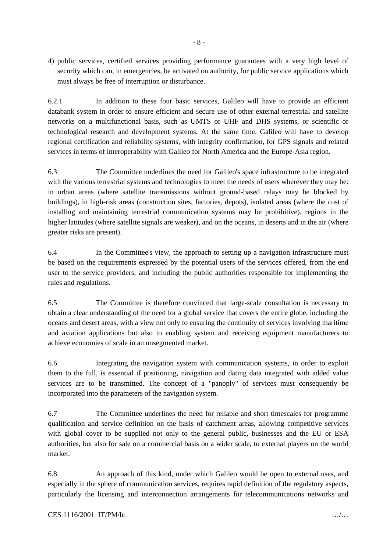4) public services, certified services providing performance guarantees with a very high level of security which can, in emergencies, be activated on authority, for public service applications which must always be free of interruption or disturbance.

6.2.1 In addition to these four basic services, Galileo will have to provide an efficient databank system in order to ensure efficient and secure use of other external terrestrial and satellite networks on a multifunctional basis, such as UMTS or UHF and DHS systems, or scientific or technological research and development systems. At the same time, Galileo will have to develop regional certification and reliability systems, with integrity confirmation, for GPS signals and related services in terms of interoperability with Galileo for North America and the Europe-Asia region.

6.3 The Committee underlines the need for Galileo's space infrastructure to be integrated with the various terrestrial systems and technologies to meet the needs of users wherever they may be: in urban areas (where satellite transmissions without ground-based relays may be blocked by buildings), in high-risk areas (construction sites, factories, depots), isolated areas (where the cost of installing and maintaining terrestrial communication systems may be prohibitive), regions in the higher latitudes (where satellite signals are weaker), and on the oceans, in deserts and in the air (where greater risks are present).

6.4 In the Committee's view, the approach to setting up a navigation infrastructure must be based on the requirements expressed by the potential users of the services offered, from the end user to the service providers, and including the public authorities responsible for implementing the rules and regulations.

6.5 The Committee is therefore convinced that large-scale consultation is necessary to obtain a clear understanding of the need for a global service that covers the entire globe, including the oceans and desert areas, with a view not only to ensuring the continuity of services involving maritime and aviation applications but also to enabling system and receiving equipment manufacturers to achieve economies of scale in an unsegmented market.

6.6 Integrating the navigation system with communication systems, in order to exploit them to the full, is essential if positioning, navigation and dating data integrated with added value services are to be transmitted. The concept of a "panoply" of services must consequently be incorporated into the parameters of the navigation system.

6.7 The Committee underlines the need for reliable and short timescales for programme qualification and service definition on the basis of catchment areas, allowing competitive services with global cover to be supplied not only to the general public, businesses and the EU or ESA authorities, but also for sale on a commercial basis on a wider scale, to external players on the world market.

6.8 An approach of this kind, under which Galileo would be open to external uses, and especially in the sphere of communication services, requires rapid definition of the regulatory aspects, particularly the licensing and interconnection arrangements for telecommunications networks and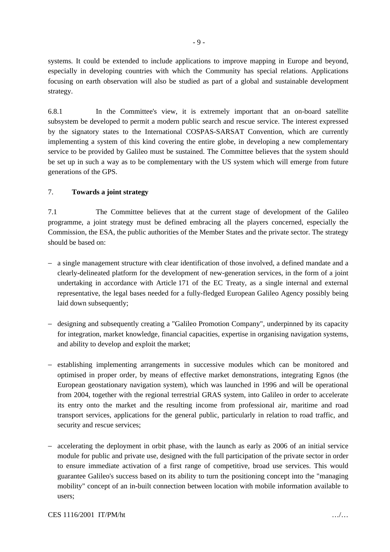systems. It could be extended to include applications to improve mapping in Europe and beyond, especially in developing countries with which the Community has special relations. Applications focusing on earth observation will also be studied as part of a global and sustainable development strategy.

6.8.1 In the Committee's view, it is extremely important that an on-board satellite subsystem be developed to permit a modern public search and rescue service. The interest expressed by the signatory states to the International COSPAS-SARSAT Convention, which are currently implementing a system of this kind covering the entire globe, in developing a new complementary service to be provided by Galileo must be sustained. The Committee believes that the system should be set up in such a way as to be complementary with the US system which will emerge from future generations of the GPS.

## 7. **Towards a joint strategy**

7.1 The Committee believes that at the current stage of development of the Galileo programme, a joint strategy must be defined embracing all the players concerned, especially the Commission, the ESA, the public authorities of the Member States and the private sector. The strategy should be based on:

- − a single management structure with clear identification of those involved, a defined mandate and a clearly-delineated platform for the development of new-generation services, in the form of a joint undertaking in accordance with Article 171 of the EC Treaty, as a single internal and external representative, the legal bases needed for a fully-fledged European Galileo Agency possibly being laid down subsequently;
- − designing and subsequently creating a "Galileo Promotion Company", underpinned by its capacity for integration, market knowledge, financial capacities, expertise in organising navigation systems, and ability to develop and exploit the market;
- − establishing implementing arrangements in successive modules which can be monitored and optimised in proper order, by means of effective market demonstrations, integrating Egnos (the European geostationary navigation system), which was launched in 1996 and will be operational from 2004, together with the regional terrestrial GRAS system, into Galileo in order to accelerate its entry onto the market and the resulting income from professional air, maritime and road transport services, applications for the general public, particularly in relation to road traffic, and security and rescue services;
- − accelerating the deployment in orbit phase, with the launch as early as 2006 of an initial service module for public and private use, designed with the full participation of the private sector in order to ensure immediate activation of a first range of competitive, broad use services. This would guarantee Galileo's success based on its ability to turn the positioning concept into the "managing mobility" concept of an in-built connection between location with mobile information available to users;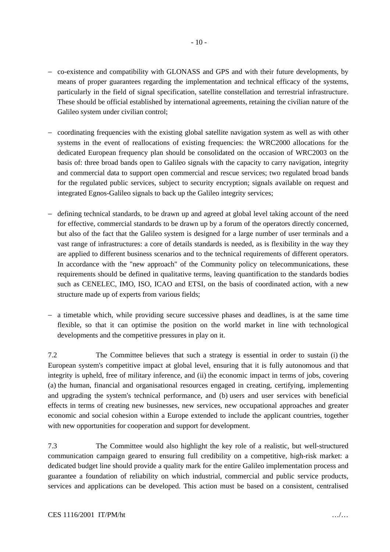- − co-existence and compatibility with GLONASS and GPS and with their future developments, by means of proper guarantees regarding the implementation and technical efficacy of the systems, particularly in the field of signal specification, satellite constellation and terrestrial infrastructure. These should be official established by international agreements, retaining the civilian nature of the Galileo system under civilian control;
- − coordinating frequencies with the existing global satellite navigation system as well as with other systems in the event of reallocations of existing frequencies: the WRC2000 allocations for the dedicated European frequency plan should be consolidated on the occasion of WRC2003 on the basis of: three broad bands open to Galileo signals with the capacity to carry navigation, integrity and commercial data to support open commercial and rescue services; two regulated broad bands for the regulated public services, subject to security encryption; signals available on request and integrated Egnos-Galileo signals to back up the Galileo integrity services;
- − defining technical standards, to be drawn up and agreed at global level taking account of the need for effective, commercial standards to be drawn up by a forum of the operators directly concerned, but also of the fact that the Galileo system is designed for a large number of user terminals and a vast range of infrastructures: a core of details standards is needed, as is flexibility in the way they are applied to different business scenarios and to the technical requirements of different operators. In accordance with the "new approach" of the Community policy on telecommunications, these requirements should be defined in qualitative terms, leaving quantification to the standards bodies such as CENELEC, IMO, ISO, ICAO and ETSI, on the basis of coordinated action, with a new structure made up of experts from various fields;
- − a timetable which, while providing secure successive phases and deadlines, is at the same time flexible, so that it can optimise the position on the world market in line with technological developments and the competitive pressures in play on it.

7.2 The Committee believes that such a strategy is essential in order to sustain (i) the European system's competitive impact at global level, ensuring that it is fully autonomous and that integrity is upheld, free of military inference, and (ii) the economic impact in terms of jobs, covering (a) the human, financial and organisational resources engaged in creating, certifying, implementing and upgrading the system's technical performance, and (b) users and user services with beneficial effects in terms of creating new businesses, new services, new occupational approaches and greater economic and social cohesion within a Europe extended to include the applicant countries, together with new opportunities for cooperation and support for development.

7.3 The Committee would also highlight the key role of a realistic, but well-structured communication campaign geared to ensuring full credibility on a competitive, high-risk market: a dedicated budget line should provide a quality mark for the entire Galileo implementation process and guarantee a foundation of reliability on which industrial, commercial and public service products, services and applications can be developed. This action must be based on a consistent, centralised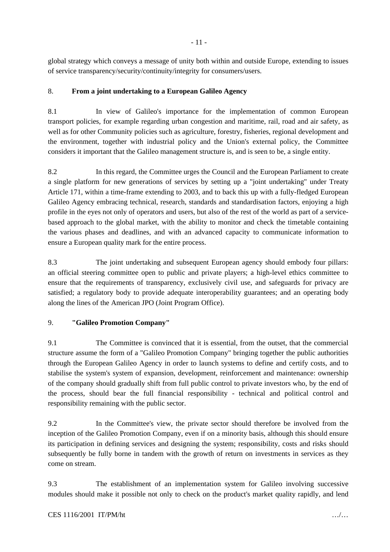global strategy which conveys a message of unity both within and outside Europe, extending to issues of service transparency/security/continuity/integrity for consumers/users.

## 8. **From a joint undertaking to a European Galileo Agency**

8.1 In view of Galileo's importance for the implementation of common European transport policies, for example regarding urban congestion and maritime, rail, road and air safety, as well as for other Community policies such as agriculture, forestry, fisheries, regional development and the environment, together with industrial policy and the Union's external policy, the Committee considers it important that the Galileo management structure is, and is seen to be, a single entity.

8.2 In this regard, the Committee urges the Council and the European Parliament to create a single platform for new generations of services by setting up a "joint undertaking" under Treaty Article 171, within a time-frame extending to 2003, and to back this up with a fully-fledged European Galileo Agency embracing technical, research, standards and standardisation factors, enjoying a high profile in the eyes not only of operators and users, but also of the rest of the world as part of a servicebased approach to the global market, with the ability to monitor and check the timetable containing the various phases and deadlines, and with an advanced capacity to communicate information to ensure a European quality mark for the entire process.

8.3 The joint undertaking and subsequent European agency should embody four pillars: an official steering committee open to public and private players; a high-level ethics committee to ensure that the requirements of transparency, exclusively civil use, and safeguards for privacy are satisfied; a regulatory body to provide adequate interoperability guarantees; and an operating body along the lines of the American JPO (Joint Program Office).

## 9. **"Galileo Promotion Company"**

9.1 The Committee is convinced that it is essential, from the outset, that the commercial structure assume the form of a "Galileo Promotion Company" bringing together the public authorities through the European Galileo Agency in order to launch systems to define and certify costs, and to stabilise the system's system of expansion, development, reinforcement and maintenance: ownership of the company should gradually shift from full public control to private investors who, by the end of the process, should bear the full financial responsibility - technical and political control and responsibility remaining with the public sector.

9.2 In the Committee's view, the private sector should therefore be involved from the inception of the Galileo Promotion Company, even if on a minority basis, although this should ensure its participation in defining services and designing the system; responsibility, costs and risks should subsequently be fully borne in tandem with the growth of return on investments in services as they come on stream.

9.3 The establishment of an implementation system for Galileo involving successive modules should make it possible not only to check on the product's market quality rapidly, and lend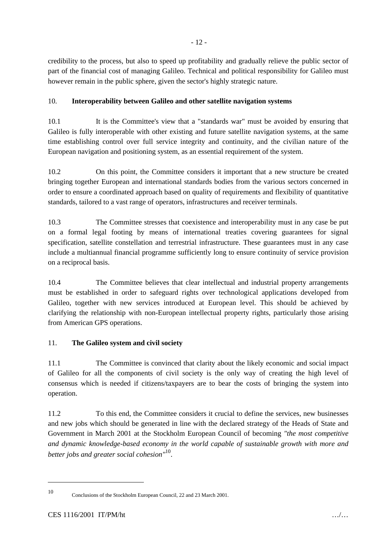credibility to the process, but also to speed up profitability and gradually relieve the public sector of part of the financial cost of managing Galileo. Technical and political responsibility for Galileo must however remain in the public sphere, given the sector's highly strategic nature.

# 10. **Interoperability between Galileo and other satellite navigation systems**

10.1 It is the Committee's view that a "standards war" must be avoided by ensuring that Galileo is fully interoperable with other existing and future satellite navigation systems, at the same time establishing control over full service integrity and continuity, and the civilian nature of the European navigation and positioning system, as an essential requirement of the system.

10.2 On this point, the Committee considers it important that a new structure be created bringing together European and international standards bodies from the various sectors concerned in order to ensure a coordinated approach based on quality of requirements and flexibility of quantitative standards, tailored to a vast range of operators, infrastructures and receiver terminals.

10.3 The Committee stresses that coexistence and interoperability must in any case be put on a formal legal footing by means of international treaties covering guarantees for signal specification, satellite constellation and terrestrial infrastructure. These guarantees must in any case include a multiannual financial programme sufficiently long to ensure continuity of service provision on a reciprocal basis.

10.4 The Committee believes that clear intellectual and industrial property arrangements must be established in order to safeguard rights over technological applications developed from Galileo, together with new services introduced at European level. This should be achieved by clarifying the relationship with non-European intellectual property rights, particularly those arising from American GPS operations.

# 11. **The Galileo system and civil society**

11.1 The Committee is convinced that clarity about the likely economic and social impact of Galileo for all the components of civil society is the only way of creating the high level of consensus which is needed if citizens/taxpayers are to bear the costs of bringing the system into operation.

11.2 To this end, the Committee considers it crucial to define the services, new businesses and new jobs which should be generated in line with the declared strategy of the Heads of State and Government in March 2001 at the Stockholm European Council of becoming *"the most competitive and dynamic knowledge-based economy in the world capable of sustainable growth with more and better jobs and greater social cohesion"*10.

 $\ddot{\phantom{a}}$ 

<sup>10</sup> Conclusions of the Stockholm European Council, 22 and 23 March 2001.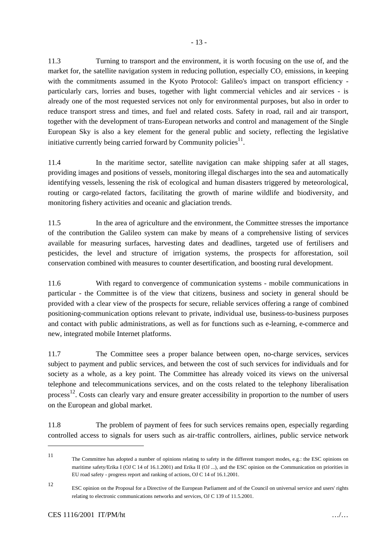11.3 Turning to transport and the environment, it is worth focusing on the use of, and the market for, the satellite navigation system in reducing pollution, especially  $CO<sub>2</sub>$  emissions, in keeping with the commitments assumed in the Kyoto Protocol: Galileo's impact on transport efficiency particularly cars, lorries and buses, together with light commercial vehicles and air services - is already one of the most requested services not only for environmental purposes, but also in order to reduce transport stress and times, and fuel and related costs. Safety in road, rail and air transport, together with the development of trans-European networks and control and management of the Single European Sky is also a key element for the general public and society, reflecting the legislative initiative currently being carried forward by Community policies<sup>11</sup>.

11.4 In the maritime sector, satellite navigation can make shipping safer at all stages, providing images and positions of vessels, monitoring illegal discharges into the sea and automatically identifying vessels, lessening the risk of ecological and human disasters triggered by meteorological, routing or cargo-related factors, facilitating the growth of marine wildlife and biodiversity, and monitoring fishery activities and oceanic and glaciation trends.

11.5 In the area of agriculture and the environment, the Committee stresses the importance of the contribution the Galileo system can make by means of a comprehensive listing of services available for measuring surfaces, harvesting dates and deadlines, targeted use of fertilisers and pesticides, the level and structure of irrigation systems, the prospects for afforestation, soil conservation combined with measures to counter desertification, and boosting rural development.

11.6 With regard to convergence of communication systems - mobile communications in particular - the Committee is of the view that citizens, business and society in general should be provided with a clear view of the prospects for secure, reliable services offering a range of combined positioning-communication options relevant to private, individual use, business-to-business purposes and contact with public administrations, as well as for functions such as e-learning, e-commerce and new, integrated mobile Internet platforms.

11.7 The Committee sees a proper balance between open, no-charge services, services subject to payment and public services, and between the cost of such services for individuals and for society as a whole, as a key point. The Committee has already voiced its views on the universal telephone and telecommunications services, and on the costs related to the telephony liberalisation process<sup>12</sup>. Costs can clearly vary and ensure greater accessibility in proportion to the number of users on the European and global market.

11.8 The problem of payment of fees for such services remains open, especially regarding controlled access to signals for users such as air-traffic controllers, airlines, public service network

 $\overline{a}$ 

<sup>11</sup> The Committee has adopted a number of opinions relating to safety in the different transport modes, e.g.: the ESC opinions on maritime safety/Erika I (OJ C 14 of 16.1.2001) and Erika II (OJ ...), and the ESC opinion on the Communication on priorities in EU road safety - progress report and ranking of actions, OJ C 14 of 16.1.2001.

<sup>12</sup> ESC opinion on the Proposal for a Directive of the European Parliament and of the Council on universal service and users' rights relating to electronic communications networks and services, OJ C 139 of 11.5.2001.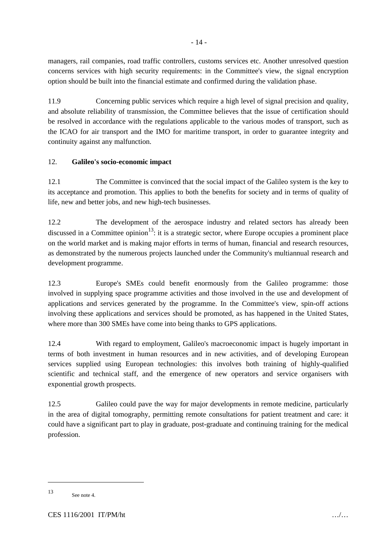managers, rail companies, road traffic controllers, customs services etc. Another unresolved question concerns services with high security requirements: in the Committee's view, the signal encryption option should be built into the financial estimate and confirmed during the validation phase.

11.9 Concerning public services which require a high level of signal precision and quality, and absolute reliability of transmission, the Committee believes that the issue of certification should be resolved in accordance with the regulations applicable to the various modes of transport, such as the ICAO for air transport and the IMO for maritime transport, in order to guarantee integrity and continuity against any malfunction.

# 12. **Galileo's socio-economic impact**

12.1 The Committee is convinced that the social impact of the Galileo system is the key to its acceptance and promotion. This applies to both the benefits for society and in terms of quality of life, new and better jobs, and new high-tech businesses.

12.2 The development of the aerospace industry and related sectors has already been discussed in a Committee opinion<sup>13</sup>: it is a strategic sector, where Europe occupies a prominent place on the world market and is making major efforts in terms of human, financial and research resources, as demonstrated by the numerous projects launched under the Community's multiannual research and development programme.

12.3 Europe's SMEs could benefit enormously from the Galileo programme: those involved in supplying space programme activities and those involved in the use and development of applications and services generated by the programme. In the Committee's view, spin-off actions involving these applications and services should be promoted, as has happened in the United States, where more than 300 SMEs have come into being thanks to GPS applications.

12.4 With regard to employment, Galileo's macroeconomic impact is hugely important in terms of both investment in human resources and in new activities, and of developing European services supplied using European technologies: this involves both training of highly-qualified scientific and technical staff, and the emergence of new operators and service organisers with exponential growth prospects.

12.5 Galileo could pave the way for major developments in remote medicine, particularly in the area of digital tomography, permitting remote consultations for patient treatment and care: it could have a significant part to play in graduate, post-graduate and continuing training for the medical profession.

 $\ddot{\phantom{a}}$ 

<sup>13</sup> See note 4.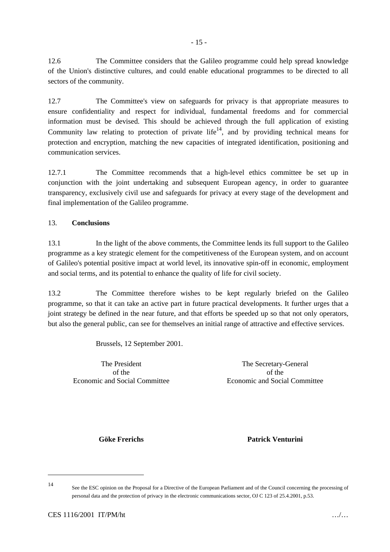12.6 The Committee considers that the Galileo programme could help spread knowledge of the Union's distinctive cultures, and could enable educational programmes to be directed to all sectors of the community.

12.7 The Committee's view on safeguards for privacy is that appropriate measures to ensure confidentiality and respect for individual, fundamental freedoms and for commercial information must be devised. This should be achieved through the full application of existing Community law relating to protection of private life<sup>14</sup>, and by providing technical means for protection and encryption, matching the new capacities of integrated identification, positioning and communication services.

12.7.1 The Committee recommends that a high-level ethics committee be set up in conjunction with the joint undertaking and subsequent European agency, in order to guarantee transparency, exclusively civil use and safeguards for privacy at every stage of the development and final implementation of the Galileo programme.

## 13. **Conclusions**

13.1 In the light of the above comments, the Committee lends its full support to the Galileo programme as a key strategic element for the competitiveness of the European system, and on account of Galileo's potential positive impact at world level, its innovative spin-off in economic, employment and social terms, and its potential to enhance the quality of life for civil society.

13.2 The Committee therefore wishes to be kept regularly briefed on the Galileo programme, so that it can take an active part in future practical developments. It further urges that a joint strategy be defined in the near future, and that efforts be speeded up so that not only operators, but also the general public, can see for themselves an initial range of attractive and effective services.

Brussels, 12 September 2001.

The President of the Economic and Social Committee

The Secretary-General of the Economic and Social Committee

**Göke Frerichs Patrick Venturini**

 $\ddot{\phantom{a}}$ 14

See the ESC opinion on the Proposal for a Directive of the European Parliament and of the Council concerning the processing of personal data and the protection of privacy in the electronic communications sector, OJ C 123 of 25.4.2001, p.53.